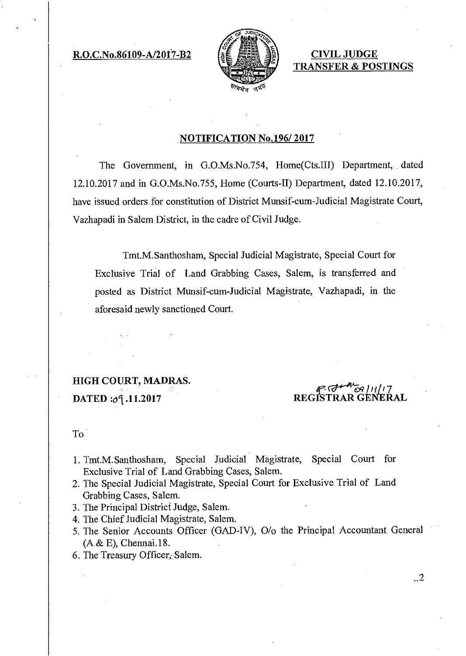$R.O.C.No.86109-A/2017-B2$   $s \notin \mathbb{R} \times \mathbb{R} \rightarrow \mathbb{R}$  CIVIL JUDGE



TRANSFER & POSTINGS

#### NOTIFICATION No.196/ 2017

The Government, in G.O.Ms.No.754, Home(Cts.III) Department, dated 12.10.2017 and in G.O.Ms.No.755, Home (Courts-II) Department, dated 12.10.2017, have issued orders for constitution of District Munsif-cum-Judicial Magistrate Court, Vazhapadi in Salem District, in the cadre of Civil Judge.

Tmt.M.Santhosham, Special Judicial Magistrate, Special Court for Exclusive Trial of Land Grabbing Cases, Salem, is transferred and posted as District Munsif-cum-Judicial Magistrate, Vazhapadi, in the aforesaid newly sanctioned Court.

HIGH COURT, MADRAS. DATED :09.11.2017

 $P.$   $Q$ REGISTRAR GENERAL

..2

#### To.

- 1. Tmt.M.Santhosham, Special Judicial Magistrate, Special Court for Exclusive Trial of Land Grabbing Cases, Salem.
- 2. The Special Judicial Magistrate, Special Court for Exclusive Trial of Land Grabbing Cases, Salem.
- 3. The Principal District Judge, Salem.
- 4. The Chief Judicial Magistrate, Salem.
- 5. The Senior Accounts Officer (GAD-IV), 0/o the Principal Accountant General (A & E), Chennai.18.
- 6. The Treasury Officer; Salem.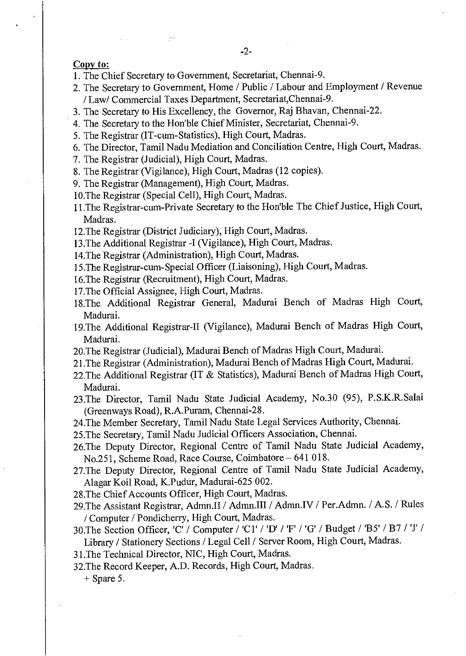Copy to:

- 1. The Chief Secretary to Government, Secretariat, Chennai-9.
- 2. The Secretary to Government, Home / Public / Labour and Employment / Revenue / Law/ Commercial Taxes Department, Secretariat,Chennai-9.
- 3. The Secretary to His Excellency, the Governor, Raj Bhavan, Chennai-22.
- 4. The Secretary to the Hon'ble Chief Minister, Secretariat, Chennai-9.
- 5. The Registrar (IT-cum-Statistics), High Court, Madras.
- 6. The Director, Tamil Nadu Mediation and Conciliation Centre, High Court, Madras.
- 7. The Registrar (Judicial), High Court, Madras.

 $\mathcal{F}$ 

- 8. The Registrar (Vigilance), High Court, Madras (12 copies).
- 9. The Registrar (Management), High Court, Madras.
- 10.The Registrar (Special Cell), High Court, Madras.
- 11.The Registrar-cum-Private Secretary to the Hon'ble The Chief Justice, High Court, Madras.
- 12.The Registrar (District Judiciary), High Court, Madras.
- 13.The Additional Registrar -I (Vigilance), High Court, Madras.
- 14.The Registrar (Administration), High Court, Madras.
- 15.The Registrar-cum-Special Officer (Liaisoning), High Court, Madras.
- 16.The Registrar (Recruitment), High Court, Madras.
- 17.The Official Assignee, High Court, Madras.
- 18.The Additional Registrar General, Madurai Bench of Madras High Court, Madurai.
- 19.The Additional Registrar-II (Vigilance), Madurai Bench of Madras High Court, Madurai.
- 20.The Registrar (Judicial), Madurai Bench of Madras High Court, Madurai.
- 21.The Registrar (Administration), Madurai Bench of Madras High Court, Madurai.
- 22.The Additional Registrar (IT & Statistics), Madurai Bench of Madras High Court, Madurai.
- 23.The Director, Tamil Nadu State Judicial Academy, No.30 (95), P.S.K.R.Salai (Greenways Road), R.A.Puram, Chennai-28.
- 24.The Member Secretary, Tamil Nadu State Legal Services Authority, Chennai.
- 25.The Secretary, Tamil Nadu Judicial Officers Association, Chennai.
- 26.The Deputy Director, Regional Centre of Tamil Nadu State Judicial Academy, No.251, Scheme Road, Race Course, Coimbatore —641 018.
- 27.The Deputy Director, Regional Centre of Tamil Nadu State Judicial Academy, Alagar Koil Road, K.Pudur, Madurai-625 002.
- 28.The Chief Accounts Officer, High Court, Madras.
- 29.The Assistant Registrar, Admn.II / Admn.III / Admn.IV / Per.Admn. / A.S. / Rules / Computer / Pondicherry, High Court, Madras.
- 30.The Section Officer, 'C' / Computer / 'Cl' / 'D' / 'F' / 'G' / Budget / 'B5' / B7 / 'J' / Library / Stationery Sections / Legal Cell / Server Room, High Court, Madras.
- 31.The Technical Director, NIC, High Court, Madras.
- 32.The Record Keeper, A.D. Records, High Court, Madras.

+ Spare 5.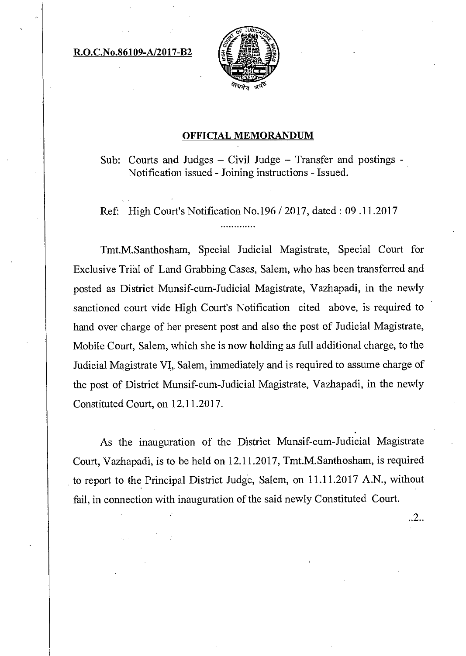R.O.C.No.86109-A/2017-B2



### OFFICIAL MEMORANDUM

Sub: Courts and Judges — Civil Judge — Transfer and postings - Notification issued - Joining instructions - Issued.

Ref: High Court's Notification No.196 / 2017, dated: 09 .11.2017

Tmt.M.Santhosham, Special Judicial Magistrate, Special Court for Exclusive Trial of Land Grabbing Cases, Salem, who has been transferred and posted as District Munsif-cum-Judicial Magistrate, Vazhapadi, in the newly sanctioned court vide High Court's Notification cited above, is required to hand over charge of her present post and also the post of Judicial Magistrate, Mobile Court, Salem, which she is now holding as full additional charge, to the Judicial Magistrate VI, Salem, immediately and is required to assume charge of the post of District Munsif-cum-Judicial Magistrate, Vazhapadi, in the newly Constituted Court, on 12.11.2017.

As the inauguration of the District Munsif-cum-Judicial Magistrate Court, Vazhapadi, is to be held on 12.11.2017, Tmt.M.Santhosham, is required to report to the Principal District Judge, Salem, on 11.11.2017 A.N., without fail, in connection with inauguration of the said newly Constituted Court.

..2..